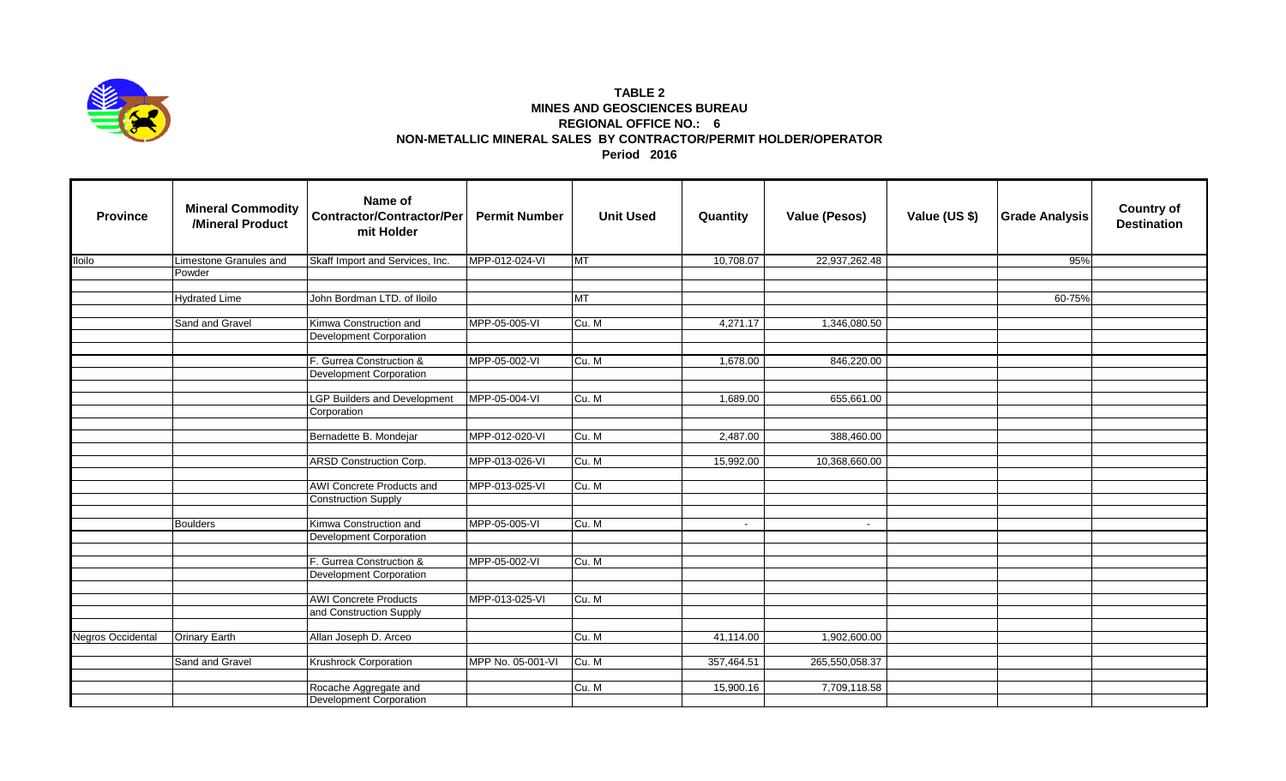

## **TABLE 2 MINES AND GEOSCIENCES BUREAU REGIONAL OFFICE NO.: 6 NON-METALLIC MINERAL SALES BY CONTRACTOR/PERMIT HOLDER/OPERATOR Period 2016**

| <b>Province</b>          | <b>Mineral Commodity</b><br>/Mineral Product | Name of<br><b>Contractor/Contractor/Per</b><br>mit Holder | <b>Permit Number</b> | <b>Unit Used</b> | Quantity   | <b>Value (Pesos)</b> | Value (US \$) | <b>Grade Analysis</b> | <b>Country of</b><br><b>Destination</b> |
|--------------------------|----------------------------------------------|-----------------------------------------------------------|----------------------|------------------|------------|----------------------|---------------|-----------------------|-----------------------------------------|
| <b>Iloilo</b>            | Limestone Granules and                       | Skaff Import and Services, Inc.                           | MPP-012-024-VI       | <b>IMT</b>       | 10,708.07  | 22,937,262.48        |               | 95%                   |                                         |
|                          | Powder                                       |                                                           |                      |                  |            |                      |               |                       |                                         |
|                          |                                              |                                                           |                      |                  |            |                      |               |                       |                                         |
|                          | <b>Hydrated Lime</b>                         | John Bordman LTD. of Iloilo                               |                      | MT               |            |                      |               | 60-75%                |                                         |
|                          | Sand and Gravel                              | Kimwa Construction and                                    | MPP-05-005-VI        | Cu. M            | 4,271.17   |                      |               |                       |                                         |
|                          |                                              | <b>Development Corporation</b>                            |                      |                  |            | 1,346,080.50         |               |                       |                                         |
|                          |                                              |                                                           |                      |                  |            |                      |               |                       |                                         |
|                          |                                              | F. Gurrea Construction &                                  | MPP-05-002-VI        | Cu. M            | 1,678.00   | 846,220.00           |               |                       |                                         |
|                          |                                              | Development Corporation                                   |                      |                  |            |                      |               |                       |                                         |
|                          |                                              |                                                           |                      |                  |            |                      |               |                       |                                         |
|                          |                                              | <b>LGP Builders and Development</b>                       | MPP-05-004-VI        | Cu. M            | 1,689.00   | 655,661.00           |               |                       |                                         |
|                          |                                              | Corporation                                               |                      |                  |            |                      |               |                       |                                         |
|                          |                                              |                                                           |                      |                  |            |                      |               |                       |                                         |
|                          |                                              | Bernadette B. Mondejar                                    | MPP-012-020-VI       | Cu. M            | 2,487.00   | 388,460.00           |               |                       |                                         |
|                          |                                              |                                                           | MPP-013-026-VI       |                  |            |                      |               |                       |                                         |
|                          |                                              | ARSD Construction Corp.                                   |                      | Cu. M            | 15,992.00  | 10,368,660.00        |               |                       |                                         |
|                          |                                              | AWI Concrete Products and                                 | MPP-013-025-VI       | Cu. M            |            |                      |               |                       |                                         |
|                          |                                              | <b>Construction Supply</b>                                |                      |                  |            |                      |               |                       |                                         |
|                          |                                              |                                                           |                      |                  |            |                      |               |                       |                                         |
|                          | <b>Boulders</b>                              | Kimwa Construction and                                    | MPP-05-005-VI        | Cu. M            | $\sim$     | $\sim$               |               |                       |                                         |
|                          |                                              | <b>Development Corporation</b>                            |                      |                  |            |                      |               |                       |                                         |
|                          |                                              |                                                           |                      |                  |            |                      |               |                       |                                         |
|                          |                                              | F. Gurrea Construction &                                  | MPP-05-002-VI        | Cu. M            |            |                      |               |                       |                                         |
|                          |                                              | Development Corporation                                   |                      |                  |            |                      |               |                       |                                         |
|                          |                                              |                                                           |                      |                  |            |                      |               |                       |                                         |
|                          |                                              | <b>AWI Concrete Products</b><br>and Construction Supply   | MPP-013-025-VI       | Cu. M            |            |                      |               |                       |                                         |
|                          |                                              |                                                           |                      |                  |            |                      |               |                       |                                         |
| <b>Negros Occidental</b> | <b>Orinary Earth</b>                         | Allan Joseph D. Arceo                                     |                      | Cu. M            | 41,114.00  | 1,902,600.00         |               |                       |                                         |
|                          |                                              |                                                           |                      |                  |            |                      |               |                       |                                         |
|                          | Sand and Gravel                              | <b>Krushrock Corporation</b>                              | MPP No. 05-001-VI    | Cu. M            | 357,464.51 | 265,550,058.37       |               |                       |                                         |
|                          |                                              |                                                           |                      |                  |            |                      |               |                       |                                         |
|                          |                                              | Rocache Aggregate and                                     |                      | Cu. M            | 15,900.16  | 7,709,118.58         |               |                       |                                         |
|                          |                                              | Development Corporation                                   |                      |                  |            |                      |               |                       |                                         |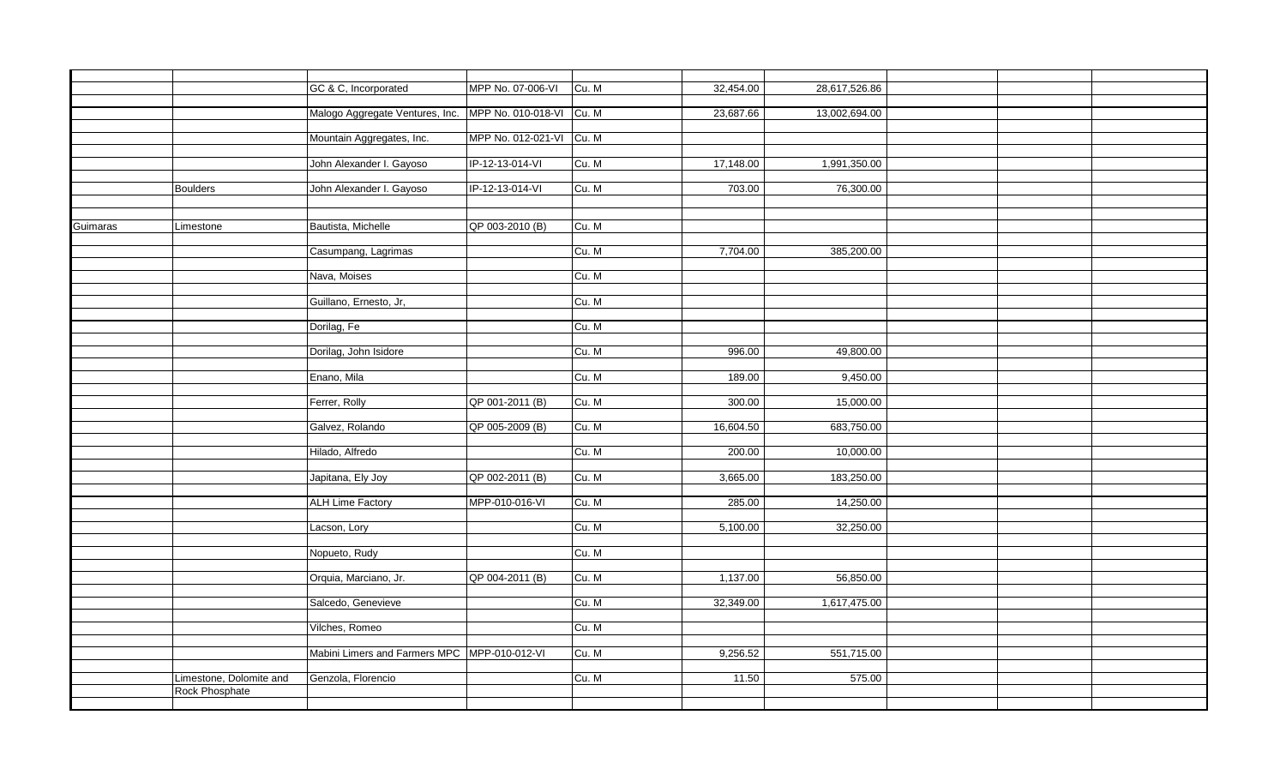|          |                         | GC & C, Incorporated                                     | MPP No. 07-006-VI        | Cu. M | 32,454.00 | 28,617,526.86 |  |  |
|----------|-------------------------|----------------------------------------------------------|--------------------------|-------|-----------|---------------|--|--|
|          |                         |                                                          |                          |       |           |               |  |  |
|          |                         | Malogo Aggregate Ventures, Inc. MPP No. 010-018-VI Cu. M |                          |       | 23,687.66 | 13,002,694.00 |  |  |
|          |                         | Mountain Aggregates, Inc.                                | MPP No. 012-021-VI Cu. M |       |           |               |  |  |
|          |                         |                                                          |                          |       |           |               |  |  |
|          |                         | John Alexander I. Gayoso                                 | IP-12-13-014-VI          | Cu. M | 17,148.00 | 1,991,350.00  |  |  |
|          |                         |                                                          |                          |       |           |               |  |  |
|          | <b>Boulders</b>         | John Alexander I. Gayoso                                 | IP-12-13-014-VI          | Cu. M | 703.00    | 76,300.00     |  |  |
|          |                         |                                                          |                          |       |           |               |  |  |
|          |                         |                                                          |                          |       |           |               |  |  |
| Guimaras | Limestone               | Bautista, Michelle                                       | QP 003-2010 (B)          | Cu. M |           |               |  |  |
|          |                         |                                                          |                          |       |           |               |  |  |
|          |                         | Casumpang, Lagrimas                                      |                          | Cu. M | 7,704.00  | 385,200.00    |  |  |
|          |                         |                                                          |                          |       |           |               |  |  |
|          |                         | Nava, Moises                                             |                          | Cu. M |           |               |  |  |
|          |                         |                                                          |                          |       |           |               |  |  |
|          |                         | Guillano, Ernesto, Jr,                                   |                          | Cu. M |           |               |  |  |
|          |                         | Dorilag, Fe                                              |                          | Cu. M |           |               |  |  |
|          |                         |                                                          |                          |       |           |               |  |  |
|          |                         | Dorilag, John Isidore                                    |                          | Cu. M | 996.00    | 49,800.00     |  |  |
|          |                         |                                                          |                          |       |           |               |  |  |
|          |                         | Enano, Mila                                              |                          | Cu. M | 189.00    | 9,450.00      |  |  |
|          |                         |                                                          |                          |       |           |               |  |  |
|          |                         | Ferrer, Rolly                                            | QP 001-2011 (B)          | Cu. M | 300.00    | 15,000.00     |  |  |
|          |                         |                                                          |                          |       |           |               |  |  |
|          |                         | Galvez, Rolando                                          | QP 005-2009 (B)          | Cu. M | 16,604.50 | 683,750.00    |  |  |
|          |                         |                                                          |                          |       |           |               |  |  |
|          |                         | Hilado, Alfredo                                          |                          | Cu. M | 200.00    | 10,000.00     |  |  |
|          |                         |                                                          |                          |       |           |               |  |  |
|          |                         | Japitana, Ely Joy                                        | QP 002-2011 (B)          | Cu. M | 3,665.00  | 183,250.00    |  |  |
|          |                         |                                                          |                          |       |           |               |  |  |
|          |                         | <b>ALH Lime Factory</b>                                  | MPP-010-016-VI           | Cu. M | 285.00    | 14,250.00     |  |  |
|          |                         | Lacson, Lory                                             |                          | Cu. M | 5,100.00  | 32,250.00     |  |  |
|          |                         |                                                          |                          |       |           |               |  |  |
|          |                         | Nopueto, Rudy                                            |                          | Cu. M |           |               |  |  |
|          |                         |                                                          |                          |       |           |               |  |  |
|          |                         | Orquia, Marciano, Jr.                                    | QP 004-2011 (B)          | Cu. M | 1,137.00  | 56,850.00     |  |  |
|          |                         |                                                          |                          |       |           |               |  |  |
|          |                         | Salcedo, Genevieve                                       |                          | Cu. M | 32,349.00 | 1,617,475.00  |  |  |
|          |                         |                                                          |                          |       |           |               |  |  |
|          |                         | Vilches, Romeo                                           |                          | Cu. M |           |               |  |  |
|          |                         |                                                          |                          |       |           |               |  |  |
|          |                         | Mabini Limers and Farmers MPC MPP-010-012-VI             |                          | Cu. M | 9,256.52  | 551,715.00    |  |  |
|          |                         |                                                          |                          |       |           |               |  |  |
|          | Limestone, Dolomite and | Genzola, Florencio                                       |                          | Cu. M | 11.50     | 575.00        |  |  |
|          | Rock Phosphate          |                                                          |                          |       |           |               |  |  |
|          |                         |                                                          |                          |       |           |               |  |  |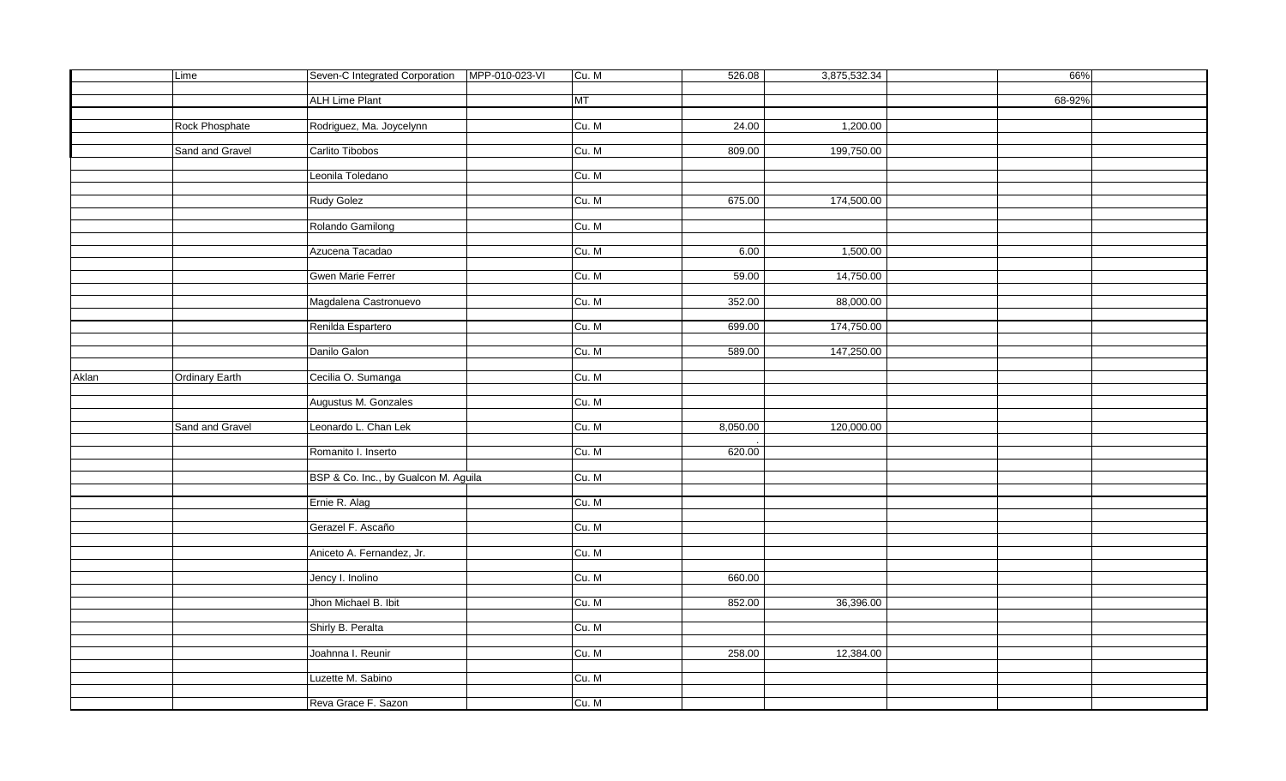|       | Lime                  | Seven-C Integrated Corporation   MPP-010-023-VI | Cu. M | 526.08   | 3,875,532.34 | 66%    |  |
|-------|-----------------------|-------------------------------------------------|-------|----------|--------------|--------|--|
|       |                       |                                                 |       |          |              |        |  |
|       |                       | <b>ALH Lime Plant</b>                           | MT    |          |              | 68-92% |  |
|       |                       |                                                 |       |          |              |        |  |
|       | Rock Phosphate        | Rodriguez, Ma. Joycelynn                        | Cu. M | 24.00    | 1,200.00     |        |  |
|       |                       |                                                 |       |          |              |        |  |
|       | Sand and Gravel       | Carlito Tibobos                                 | Cu. M | 809.00   | 199,750.00   |        |  |
|       |                       |                                                 |       |          |              |        |  |
|       |                       | Leonila Toledano                                | Cu. M |          |              |        |  |
|       |                       |                                                 |       |          |              |        |  |
|       |                       |                                                 |       |          |              |        |  |
|       |                       | Rudy Golez                                      | Cu. M | 675.00   | 174,500.00   |        |  |
|       |                       |                                                 |       |          |              |        |  |
|       |                       | Rolando Gamilong                                | Cu. M |          |              |        |  |
|       |                       |                                                 |       |          |              |        |  |
|       |                       | Azucena Tacadao                                 | Cu. M | 6.00     | 1,500.00     |        |  |
|       |                       |                                                 |       |          |              |        |  |
|       |                       | <b>Gwen Marie Ferrer</b>                        | Cu. M | 59.00    | 14,750.00    |        |  |
|       |                       |                                                 |       |          |              |        |  |
|       |                       | Magdalena Castronuevo                           | Cu. M | 352.00   | 88,000.00    |        |  |
|       |                       |                                                 |       |          |              |        |  |
|       |                       | Renilda Espartero                               | Cu. M | 699.00   | 174,750.00   |        |  |
|       |                       |                                                 |       |          |              |        |  |
|       |                       | Danilo Galon                                    | Cu. M | 589.00   | 147,250.00   |        |  |
|       |                       |                                                 |       |          |              |        |  |
| Aklan | <b>Ordinary Earth</b> | Cecilia O. Sumanga                              | Cu. M |          |              |        |  |
|       |                       |                                                 |       |          |              |        |  |
|       |                       | Augustus M. Gonzales                            | Cu. M |          |              |        |  |
|       |                       |                                                 |       |          |              |        |  |
|       | Sand and Gravel       | Leonardo L. Chan Lek                            | Cu. M | 8,050.00 | 120,000.00   |        |  |
|       |                       |                                                 |       |          |              |        |  |
|       |                       | Romanito I. Inserto                             | Cu. M | 620.00   |              |        |  |
|       |                       |                                                 |       |          |              |        |  |
|       |                       |                                                 | Cu. M |          |              |        |  |
|       |                       | BSP & Co. Inc., by Gualcon M. Aguila            |       |          |              |        |  |
|       |                       |                                                 |       |          |              |        |  |
|       |                       | Ernie R. Alag                                   | Cu. M |          |              |        |  |
|       |                       |                                                 |       |          |              |        |  |
|       |                       | Gerazel F. Ascaño                               | Cu. M |          |              |        |  |
|       |                       |                                                 |       |          |              |        |  |
|       |                       | Aniceto A. Fernandez, Jr.                       | Cu. M |          |              |        |  |
|       |                       |                                                 |       |          |              |        |  |
|       |                       | Jency I. Inolino                                | Cu. M | 660.00   |              |        |  |
|       |                       |                                                 |       |          |              |        |  |
|       |                       | Jhon Michael B. Ibit                            | Cu. M | 852.00   | 36,396.00    |        |  |
|       |                       |                                                 |       |          |              |        |  |
|       |                       | Shirly B. Peralta                               | Cu. M |          |              |        |  |
|       |                       |                                                 |       |          |              |        |  |
|       |                       | Joahnna I. Reunir                               | Cu. M | 258.00   | 12,384.00    |        |  |
|       |                       |                                                 |       |          |              |        |  |
|       |                       | Luzette M. Sabino                               | Cu. M |          |              |        |  |
|       |                       |                                                 |       |          |              |        |  |
|       |                       | Reva Grace F. Sazon                             | Cu. M |          |              |        |  |
|       |                       |                                                 |       |          |              |        |  |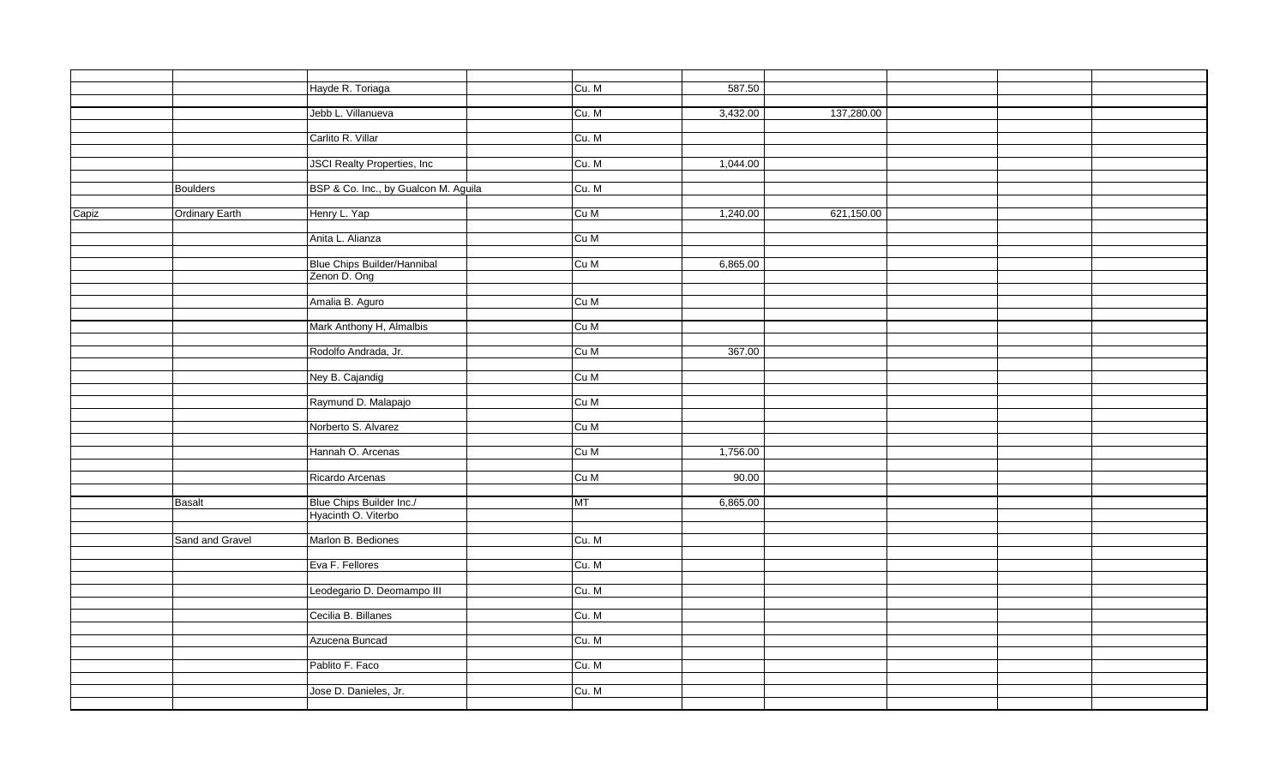|       |                 | Hayde R. Toriaga                     | Cu. M | 587.50   |            |  |  |
|-------|-----------------|--------------------------------------|-------|----------|------------|--|--|
|       |                 |                                      |       |          |            |  |  |
|       |                 | Jebb L. Villanueva                   | Cu. M | 3,432.00 | 137,280.00 |  |  |
|       |                 |                                      |       |          |            |  |  |
|       |                 | Carlito R. Villar                    | Cu. M |          |            |  |  |
|       |                 | <b>JSCI Realty Properties, Inc.</b>  | Cu. M | 1,044.00 |            |  |  |
|       |                 |                                      |       |          |            |  |  |
|       | <b>Boulders</b> | BSP & Co. Inc., by Gualcon M. Aguila | Cu. M |          |            |  |  |
|       |                 |                                      |       |          |            |  |  |
| Capiz | Ordinary Earth  | Henry L. Yap                         | Cu M  | 1,240.00 | 621,150.00 |  |  |
|       |                 |                                      |       |          |            |  |  |
|       |                 | Anita L. Alianza                     | Cu M  |          |            |  |  |
|       |                 | Blue Chips Builder/Hannibal          | Cu M  | 6,865.00 |            |  |  |
|       |                 | Zenon D. Ong                         |       |          |            |  |  |
|       |                 |                                      |       |          |            |  |  |
|       |                 | Amalia B. Aguro                      | Cu M  |          |            |  |  |
|       |                 |                                      |       |          |            |  |  |
|       |                 | Mark Anthony H, Almalbis             | Cu M  |          |            |  |  |
|       |                 |                                      |       |          |            |  |  |
|       |                 | Rodolfo Andrada, Jr.                 | Cu M  | 367.00   |            |  |  |
|       |                 |                                      | Cu M  |          |            |  |  |
|       |                 | Ney B. Cajandig                      |       |          |            |  |  |
|       |                 | Raymund D. Malapajo                  | Cu M  |          |            |  |  |
|       |                 |                                      |       |          |            |  |  |
|       |                 | Norberto S. Alvarez                  | Cu M  |          |            |  |  |
|       |                 |                                      |       |          |            |  |  |
|       |                 | Hannah O. Arcenas                    | Cu M  | 1,756.00 |            |  |  |
|       |                 |                                      | Cu M  | 90.00    |            |  |  |
|       |                 | Ricardo Arcenas                      |       |          |            |  |  |
|       | Basalt          | Blue Chips Builder Inc./             | MT    | 6,865.00 |            |  |  |
|       |                 | Hyacinth O. Viterbo                  |       |          |            |  |  |
|       |                 |                                      |       |          |            |  |  |
|       | Sand and Gravel | Marlon B. Bediones                   | Cu. M |          |            |  |  |
|       |                 |                                      |       |          |            |  |  |
|       |                 | Eva F. Fellores                      | Cu. M |          |            |  |  |
|       |                 | Leodegario D. Deomampo III           | Cu. M |          |            |  |  |
|       |                 |                                      |       |          |            |  |  |
|       |                 | Cecilia B. Billanes                  | Cu. M |          |            |  |  |
|       |                 |                                      |       |          |            |  |  |
|       |                 | Azucena Buncad                       | Cu. M |          |            |  |  |
|       |                 |                                      |       |          |            |  |  |
|       |                 | Pablito F. Faco                      | Cu. M |          |            |  |  |
|       |                 |                                      | Cu. M |          |            |  |  |
|       |                 | Jose D. Danieles, Jr.                |       |          |            |  |  |
|       |                 |                                      |       |          |            |  |  |